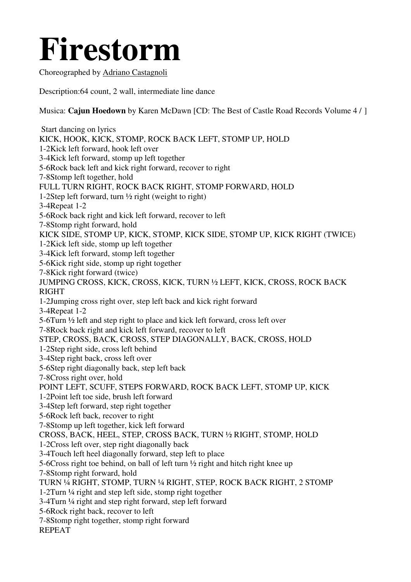## **Firestorm**

Choreographed by Adriano Castagnoli

Description:64 count, 2 wall, intermediate line dance

Musica: **Cajun Hoedown** by Karen McDawn [CD: The Best of Castle Road Records Volume 4 / ]

 Start dancing on lyrics KICK, HOOK, KICK, STOMP, ROCK BACK LEFT, STOMP UP, HOLD 1-2Kick left forward, hook left over 3-4Kick left forward, stomp up left together 5-6Rock back left and kick right forward, recover to right 7-8Stomp left together, hold FULL TURN RIGHT, ROCK BACK RIGHT, STOMP FORWARD, HOLD 1-2Step left forward, turn ½ right (weight to right) 3-4Repeat 1-2 5-6Rock back right and kick left forward, recover to left 7-8Stomp right forward, hold KICK SIDE, STOMP UP, KICK, STOMP, KICK SIDE, STOMP UP, KICK RIGHT (TWICE) 1-2Kick left side, stomp up left together 3-4Kick left forward, stomp left together 5-6Kick right side, stomp up right together 7-8Kick right forward (twice) JUMPING CROSS, KICK, CROSS, KICK, TURN ½ LEFT, KICK, CROSS, ROCK BACK RIGHT 1-2Jumping cross right over, step left back and kick right forward 3-4Repeat 1-2 5-6Turn ½ left and step right to place and kick left forward, cross left over 7-8Rock back right and kick left forward, recover to left STEP, CROSS, BACK, CROSS, STEP DIAGONALLY, BACK, CROSS, HOLD 1-2Step right side, cross left behind 3-4Step right back, cross left over 5-6Step right diagonally back, step left back 7-8Cross right over, hold POINT LEFT, SCUFF, STEPS FORWARD, ROCK BACK LEFT, STOMP UP, KICK 1-2Point left toe side, brush left forward 3-4Step left forward, step right together 5-6Rock left back, recover to right 7-8Stomp up left together, kick left forward CROSS, BACK, HEEL, STEP, CROSS BACK, TURN ½ RIGHT, STOMP, HOLD 1-2Cross left over, step right diagonally back 3-4Touch left heel diagonally forward, step left to place 5-6Cross right toe behind, on ball of left turn ½ right and hitch right knee up 7-8Stomp right forward, hold TURN ¼ RIGHT, STOMP, TURN ¼ RIGHT, STEP, ROCK BACK RIGHT, 2 STOMP 1-2Turn ¼ right and step left side, stomp right together 3-4Turn ¼ right and step right forward, step left forward 5-6Rock right back, recover to left 7-8Stomp right together, stomp right forward REPEAT